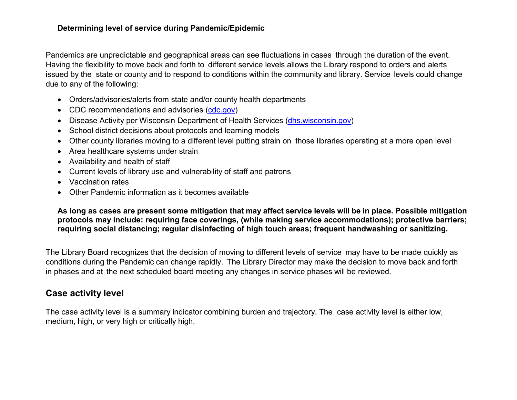## **Determining level of service during Pandemic/Epidemic**

Pandemics are unpredictable and geographical areas can see fluctuations in cases through the duration of the event. Having the flexibility to move back and forth to different service levels allows the Library respond to orders and alerts issued by the state or county and to respond to conditions within the community and library. Service levels could change due to any of the following:

- Orders/advisories/alerts from state and/or county health departments
- CDC recommendations and advisories (cdc.gov)
- Disease Activity per Wisconsin Department of Health Services (dhs.wisconsin.gov)
- School district decisions about protocols and learning models
- Other county libraries moving to a different level putting strain on those libraries operating at a more open level
- Area healthcare systems under strain
- Availability and health of staff
- Current levels of library use and vulnerability of staff and patrons
- Vaccination rates
- Other Pandemic information as it becomes available

**As long as cases are present some mitigation that may affect service levels will be in place. Possible mitigation protocols may include: requiring face coverings, (while making service accommodations); protective barriers; requiring social distancing; regular disinfecting of high touch areas; frequent handwashing or sanitizing.**

The Library Board recognizes that the decision of moving to different levels of service may have to be made quickly as conditions during the Pandemic can change rapidly. The Library Director may make the decision to move back and forth in phases and at the next scheduled board meeting any changes in service phases will be reviewed.

## **Case activity level**

The case activity level is a summary indicator combining burden and trajectory. The case activity level is either low, medium, high, or very high or critically high.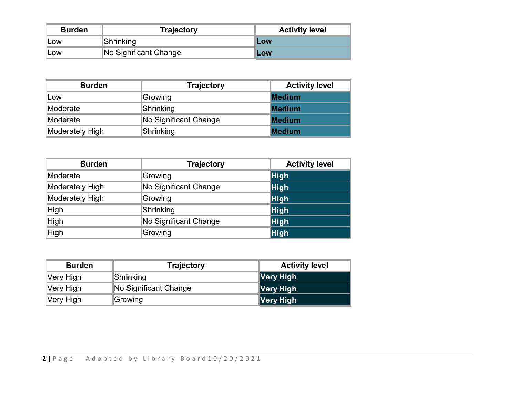| <b>Burden</b> | <b>Trajectory</b>     | <b>Activity level</b> |  |
|---------------|-----------------------|-----------------------|--|
| LOW           | Shrinking             | <b>Low</b>            |  |
| LOW           | No Significant Change | Low                   |  |

| <b>Burden</b>          | <b>Trajectory</b>     | <b>Activity level</b> |  |
|------------------------|-----------------------|-----------------------|--|
| Low                    | Growing               | <b>Medium</b>         |  |
| Moderate               | Shrinking             | <b>Medium</b>         |  |
| Moderate               | No Significant Change | <b>Medium</b>         |  |
| <b>Moderately High</b> | Shrinking             | <b>Medium</b>         |  |

| <b>Burden</b>          | <b>Trajectory</b>     | <b>Activity level</b> |  |
|------------------------|-----------------------|-----------------------|--|
| Moderate               | Growing               | <b>High</b>           |  |
| Moderately High        | No Significant Change | $\ $ High             |  |
| <b>Moderately High</b> | Growing               | <b>High</b>           |  |
| High                   | Shrinking             | <b>High</b>           |  |
| High                   | No Significant Change | <b>High</b>           |  |
| High                   | Growing               | <b>High</b>           |  |

| <b>Burden</b> | <b>Trajectory</b>     | <b>Activity level</b> |  |
|---------------|-----------------------|-----------------------|--|
| Very High     | Shrinking             | ∥Very High            |  |
| Very High     | No Significant Change | ∥Very High            |  |
| Very High     | Growing               | ∥Very High            |  |